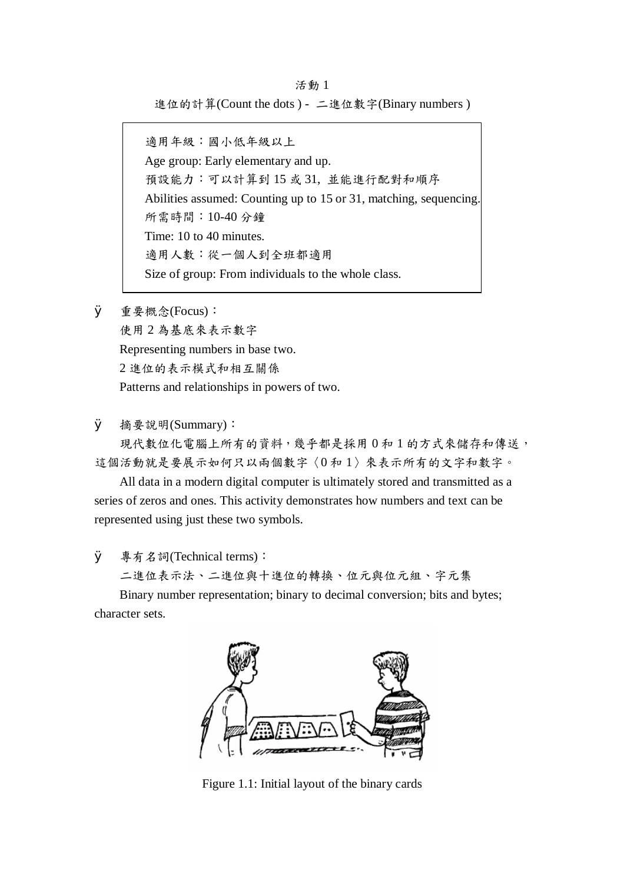活動 1 進位的計算(Count the dots ) - 二進位數字(Binary numbers )

適用年級:國小低年級以上 Age group: Early elementary and up. 預設能力:可以計算到 15 或 31, 並能進行配對和順序 Abilities assumed: Counting up to 15 or 31, matching, sequencing. 所需時間:10-40 分鐘 Time: 10 to 40 minutes. 適用人數:從一個人到全班都適用 Size of group: From individuals to the whole class.

Ø 重要概念(Focus): 使用 2 為基底來表示數字 Representing numbers in base two. 2 進位的表示模式和相互關係 Patterns and relationships in powers of two.

Ø 摘要說明(Summary):

現代數位化電腦上所有的資料,幾乎都是採用 0 和 1 的方式來儲存和傳送, 這個活動就是要展示如何只以兩個數字〈0 和 1〉來表示所有的文字和數字。

All data in a modern digital computer is ultimately stored and transmitted as a series of zeros and ones. This activity demonstrates how numbers and text can be represented using just these two symbols.

**Ø** 專有名詞(Technical terms):

二進位表示法、二進位與十進位的轉換、位元與位元組、字元集

Binary number representation; binary to decimal conversion; bits and bytes; character sets.



Figure 1.1: Initial layout of the binary cards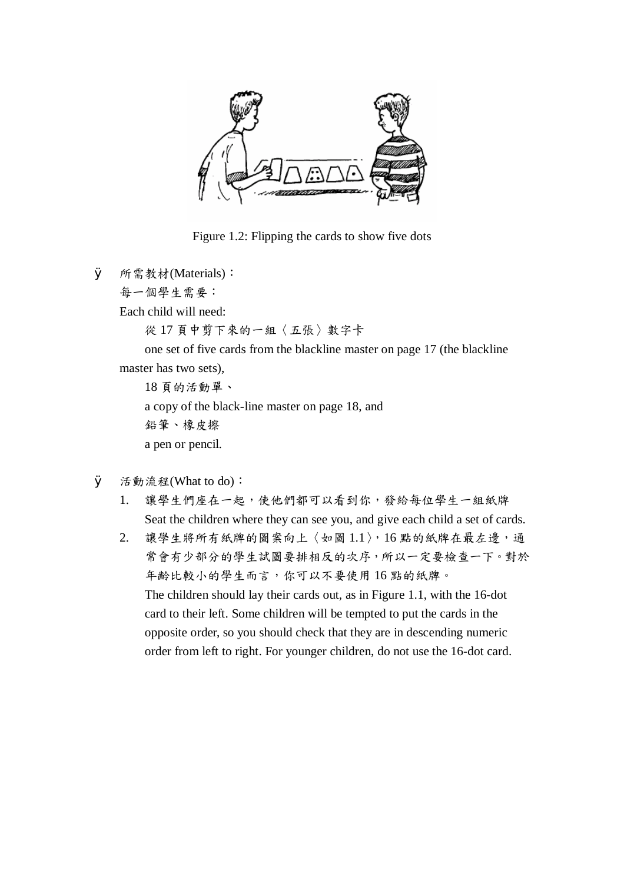

Figure 1.2: Flipping the cards to show five dots

Ø 所需教材(Materials):

每一個學生需要:

Each child will need:

從 17 頁中剪下來的一組〈五張〉數字卡

one set of five cards from the blackline master on page 17 (the blackline master has two sets),

18 頁的活動單、 a copy of the black-line master on page 18, and 鉛筆、橡皮擦 a pen or pencil.

- Ø 活動流程(What to do):
	- 1. 讓學生們座在一起,使他們都可以看到你,發給每位學生一組紙牌 Seat the children where they can see you, and give each child a set of cards.
	- 2. 讓學生將所有紙牌的圖案向上〈如圖 1.1〉,16點的紙牌在最左邊,通 常會有少部分的學生試圖要排相反的次序,所以一定要檢查一下。對於 年齡比較小的學生而言,你可以不要使用 16 點的紙牌。 The children should lay their cards out, as in Figure 1.1, with the 16-dot card to their left. Some children will be tempted to put the cards in the opposite order, so you should check that they are in descending numeric order from left to right. For younger children, do not use the 16-dot card.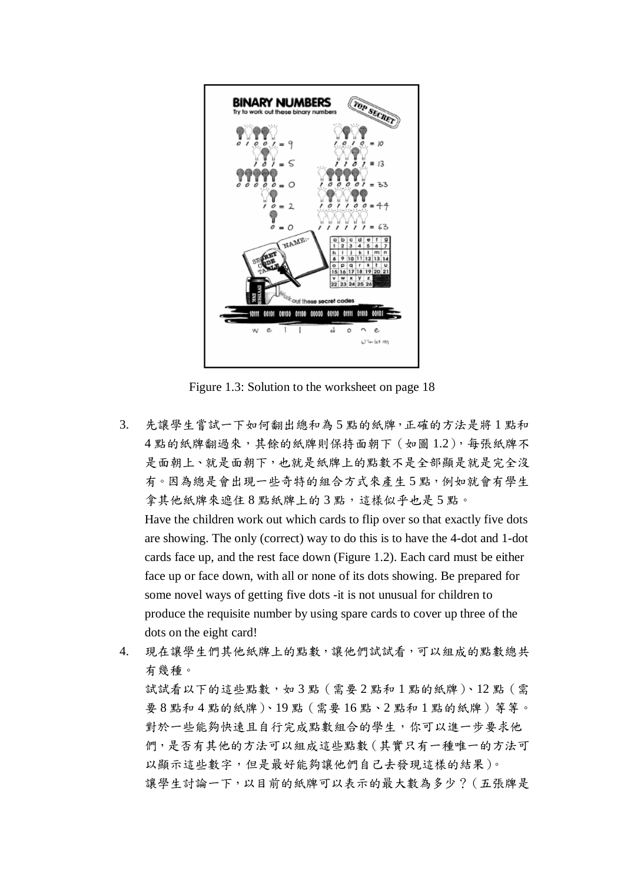

Figure 1.3: Solution to the worksheet on page 18

3. 先讓學生嘗試一下如何翻出總和為 5 點的紙牌,正確的方法是將 1 點和 4點的紙牌翻過來,其餘的紙牌則保持面朝下(如圖 1.2),每張紙牌不 是面朝上、就是面朝下,也就是紙牌上的點數不是全部顯是就是完全沒 有。因為總是會出現一些奇特的組合方式來產生 5 點,例如就會有學生 拿其他紙牌來遮住8點紙牌上的3點,這樣似乎也是5點。

Have the children work out which cards to flip over so that exactly five dots are showing. The only (correct) way to do this is to have the 4-dot and 1-dot cards face up, and the rest face down (Figure 1.2). Each card must be either face up or face down, with all or none of its dots showing. Be prepared for some novel ways of getting five dots -it is not unusual for children to produce the requisite number by using spare cards to cover up three of the dots on the eight card!

4. 現在讓學生們其他紙牌上的點數,讓他們試試看,可以組成的點數總共 有幾種。 試試看以下的這些點數,如3點(需要2點和1點的紙牌)、12點(需 要 8 點和 4 點的紙牌)、19 點(需要 16 點、2 點和 1 點的紙牌)等等。 對於一些能夠快速且自行完成點數組合的學生,你可以進一步要求他 們,是否有其他的方法可以組成這些點數(其實只有一種唯一的方法可 以顯示這些數字,但是最好能夠讓他們自己去發現這樣的結果)。 讓學生討論一下,以目前的紙牌可以表示的最大數為多少?(五張牌是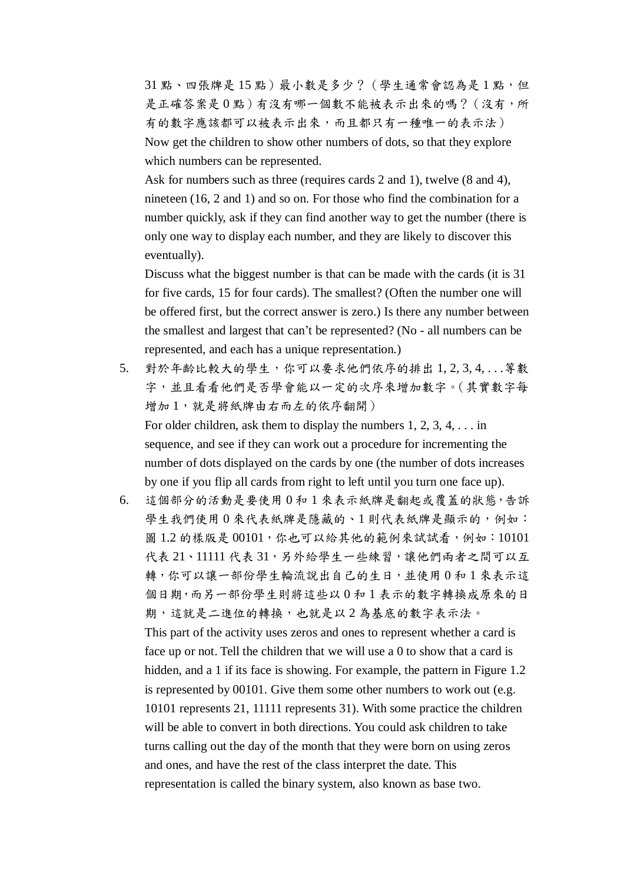31點、四張牌是15點)最小數是多少?(學生通常會認為是1點,但 是正確答案是 0點)有沒有哪一個數不能被表示出來的嗎?(沒有,所 有的數字應該都可以被表示出來,而且都只有一種唯一的表示法) Now get the children to show other numbers of dots, so that they explore which numbers can be represented.

Ask for numbers such as three (requires cards 2 and 1), twelve (8 and 4), nineteen (16, 2 and 1) and so on. For those who find the combination for a number quickly, ask if they can find another way to get the number (there is only one way to display each number, and they are likely to discover this eventually).

Discuss what the biggest number is that can be made with the cards (it is 31 for five cards, 15 for four cards). The smallest? (Often the number one will be offered first, but the correct answer is zero.) Is there any number between the smallest and largest that can't be represented? (No - all numbers can be represented, and each has a unique representation.)

5. 對於年齡比較大的學生,你可以要求他們依序的排出 1, 2, 3, 4, . . .等數 字,並且看看他們是否學會能以一定的次序來增加數字。(其實數字每 增加1,就是將紙牌由右而左的依序翻開) For older children, ask them to display the numbers 1, 2, 3, 4, . . . in

sequence, and see if they can work out a procedure for incrementing the number of dots displayed on the cards by one (the number of dots increases by one if you flip all cards from right to left until you turn one face up).

6. 這個部分的活動是要使用 0 和 1 來表示紙牌是翻起或覆蓋的狀態,告訴 學生我們使用 0 來代表紙牌是隱藏的、1 則代表紙牌是顯示的, 例如: 圖 1.2 的樣版是 00101, 你也可以給其他的範例來試試看, 例如: 10101 代表 21、11111 代表 31,另外給學生一些練習,讓他們兩者之間可以互 轉,你可以讓一部份學生輪流說出自己的生日,並使用 0 和 1 來表示這 個日期,而另一部份學生則將這些以 0 和 1 表示的數字轉換成原來的日 期,這就是二進位的轉換,也就是以 2 為基底的數字表示法。 This part of the activity uses zeros and ones to represent whether a card is face up or not. Tell the children that we will use a 0 to show that a card is hidden, and a 1 if its face is showing. For example, the pattern in Figure 1.2 is represented by 00101. Give them some other numbers to work out (e.g. 10101 represents 21, 11111 represents 31). With some practice the children

will be able to convert in both directions. You could ask children to take turns calling out the day of the month that they were born on using zeros and ones, and have the rest of the class interpret the date. This representation is called the binary system, also known as base two.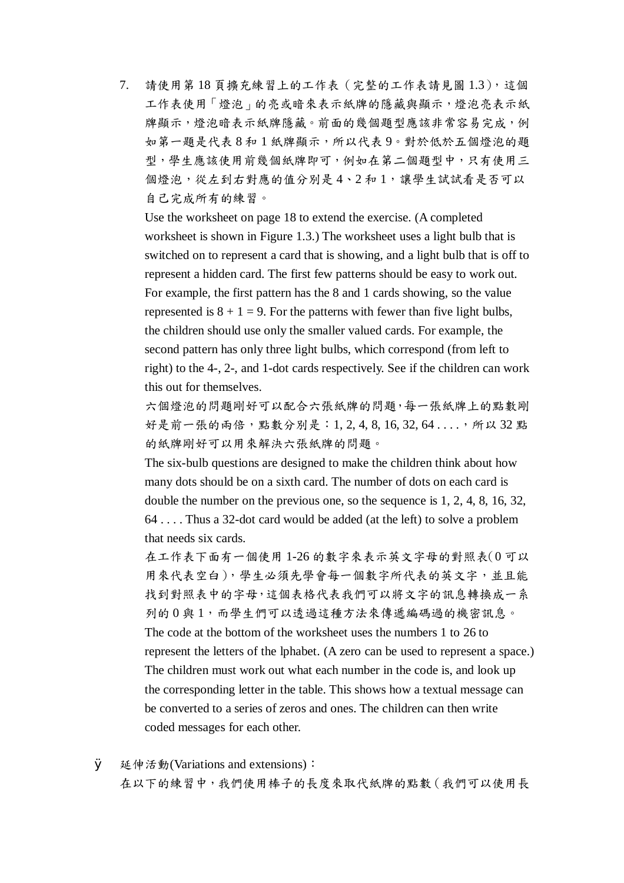7. 請使用第 18 頁擴充練習上的工作表(完整的工作表請見圖 1.3),這個 工作表使用「燈泡」的亮或暗來表示紙牌的隱藏與顯示,燈泡亮表示紙 牌顯示,燈泡暗表示紙牌隱藏。前面的幾個題型應該非常容易完成,例 如第一題是代表 8 和 1 紙牌顯示,所以代表 9。對於低於五個燈泡的題 型,學生應該使用前幾個紙牌即可,例如在第二個題型中,只有使用三 個燈泡,從左到右對應的值分別是4、2和1,讓學生試試看是否可以 自己完成所有的練習。

Use the worksheet on page 18 to extend the exercise. (A completed worksheet is shown in Figure 1.3.) The worksheet uses a light bulb that is switched on to represent a card that is showing, and a light bulb that is off to represent a hidden card. The first few patterns should be easy to work out. For example, the first pattern has the 8 and 1 cards showing, so the value represented is  $8 + 1 = 9$ . For the patterns with fewer than five light bulbs, the children should use only the smaller valued cards. For example, the second pattern has only three light bulbs, which correspond (from left to right) to the 4-, 2-, and 1-dot cards respectively. See if the children can work this out for themselves.

六個燈泡的問題剛好可以配合六張紙牌的問題,每一張紙牌上的點數剛 好是前一張的兩倍,點數分別是: 1, 2, 4, 8, 16, 32, 64 . . . . , 所以 32 點 的紙牌剛好可以用來解決六張紙牌的問題。

The six-bulb questions are designed to make the children think about how many dots should be on a sixth card. The number of dots on each card is double the number on the previous one, so the sequence is 1, 2, 4, 8, 16, 32, 64 . . . . Thus a 32-dot card would be added (at the left) to solve a problem that needs six cards.

在工作表下面有一個使用 1-26 的數字來表示英文字母的對照表(0 可以 用來代表空白),學生必須先學會每一個數字所代表的英文字,並且能 找到對照表中的字母,這個表格代表我們可以將文字的訊息轉換成一系 列的 0 與 1,而學生們可以透過這種方法來傳遞編碼過的機密訊息。 The code at the bottom of the worksheet uses the numbers 1 to 26 to represent the letters of the lphabet. (A zero can be used to represent a space.) The children must work out what each number in the code is, and look up the corresponding letter in the table. This shows how a textual message can be converted to a series of zeros and ones. The children can then write coded messages for each other.

**Ø** 延伸活動(Variations and extensions): 在以下的練習中,我們使用棒子的長度來取代紙牌的點數(我們可以使用長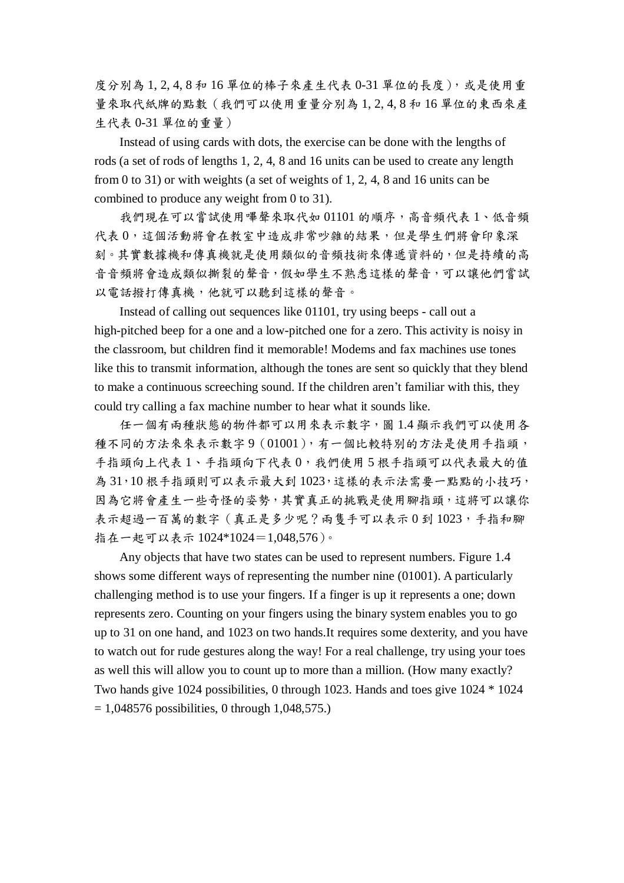度分別為 1, 2, 4, 8 和 16 單位的棒子來產生代表 0-31 單位的長度),或是使用重 量來取代紙牌的點數(我們可以使用重量分別為 1, 2, 4, 8 和 16 單位的東西來產 生代表 0-31 單位的重量)

Instead of using cards with dots, the exercise can be done with the lengths of rods (a set of rods of lengths 1, 2, 4, 8 and 16 units can be used to create any length from 0 to 31) or with weights (a set of weights of 1, 2, 4, 8 and 16 units can be combined to produce any weight from 0 to 31).

我們現在可以嘗試使用嗶聲來取代如 01101 的順序,高音頻代表 1、低音頻 代表 0,這個活動將會在教室中造成非常吵雜的結果,但是學生們將會印象深 刻。其實數據機和傳真機就是使用類似的音頻技術來傳遞資料的,但是持續的高 音音頻將會造成類似撕裂的聲音,假如學生不熟悉這樣的聲音,可以讓他們嘗試 以電話撥打傳真機,他就可以聽到這樣的聲音。

Instead of calling out sequences like 01101, try using beeps - call out a high-pitched beep for a one and a low-pitched one for a zero. This activity is noisy in the classroom, but children find it memorable! Modems and fax machines use tones like this to transmit information, although the tones are sent so quickly that they blend to make a continuous screeching sound. If the children aren't familiar with this, they could try calling a fax machine number to hear what it sounds like.

任一個有兩種狀態的物件都可以用來表示數字,圖 1.4 顯示我們可以使用各 種不同的方法來來表示數字9(01001),有一個比較特別的方法是使用手指頭, 手指頭向上代表 1、手指頭向下代表 0,我們使用 5 根手指頭可以代表最大的值 為 31,10根手指頭則可以表示最大到1023,這樣的表示法需要一點點的小技巧, 因為它將會產生一些奇怪的姿勢,其實真正的挑戰是使用腳指頭,這將可以讓你 表示超過一百萬的數字 (真正是多少呢?兩隻手可以表示 0 到 1023, 手指和腳 指在一起可以表示 1024\*1024=1,048,576)。

Any objects that have two states can be used to represent numbers. Figure 1.4 shows some different ways of representing the number nine (01001). A particularly challenging method is to use your fingers. If a finger is up it represents a one; down represents zero. Counting on your fingers using the binary system enables you to go up to 31 on one hand, and 1023 on two hands.It requires some dexterity, and you have to watch out for rude gestures along the way! For a real challenge, try using your toes as well this will allow you to count up to more than a million. (How many exactly? Two hands give 1024 possibilities, 0 through 1023. Hands and toes give 1024 \* 1024  $= 1,048576$  possibilities, 0 through 1,048,575.)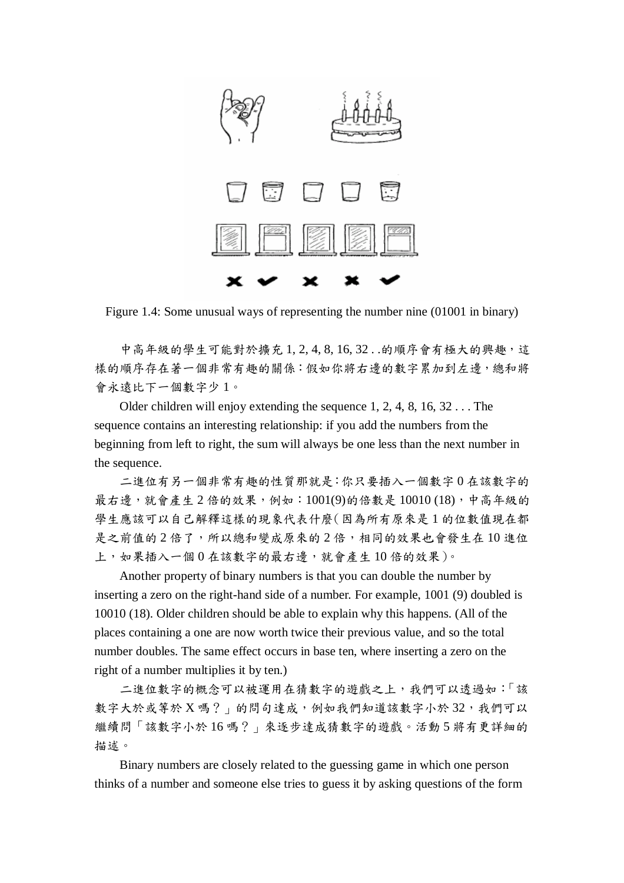

Figure 1.4: Some unusual ways of representing the number nine (01001 in binary)

中高年級的學生可能對於擴充1,2,4,8,16,32..的順序會有極大的興趣,這 樣的順序存在著一個非常有趣的關係:假如你將右邊的數字累加到左邊,總和將 會永遠比下一個數字少 1。

Older children will enjoy extending the sequence 1, 2, 4, 8, 16, 32 . . . The sequence contains an interesting relationship: if you add the numbers from the beginning from left to right, the sum will always be one less than the next number in the sequence.

二進位有另一個非常有趣的性質那就是:你只要插入一個數字 0 在該數字的 最右邊,就會產生 2 倍的效果,例如:1001(9)的倍數是 10010 (18),中高年級的 學生應該可以自己解釋這樣的現象代表什麼(因為所有原來是 1 的位數值現在都 是之前值的2倍了,所以總和變成原來的2倍,相同的效果也會發生在10進位 上,如果插入一個 0 在該數字的最右邊,就會產生 10 倍的效果)。

Another property of binary numbers is that you can double the number by inserting a zero on the right-hand side of a number. For example, 1001 (9) doubled is 10010 (18). Older children should be able to explain why this happens. (All of the places containing a one are now worth twice their previous value, and so the total number doubles. The same effect occurs in base ten, where inserting a zero on the right of a number multiplies it by ten.)

二進位數字的概念可以被運用在猜數字的遊戲之上,我們可以透過如:「該 數字大於或等於 X 嗎? 」的問句達成,例如我們知道該數字小於 32,我們可以 繼續問「該數字小於 16 嗎?」來逐步達成猜數字的遊戲。活動 5 將有更詳細的 描述。

Binary numbers are closely related to the guessing game in which one person thinks of a number and someone else tries to guess it by asking questions of the form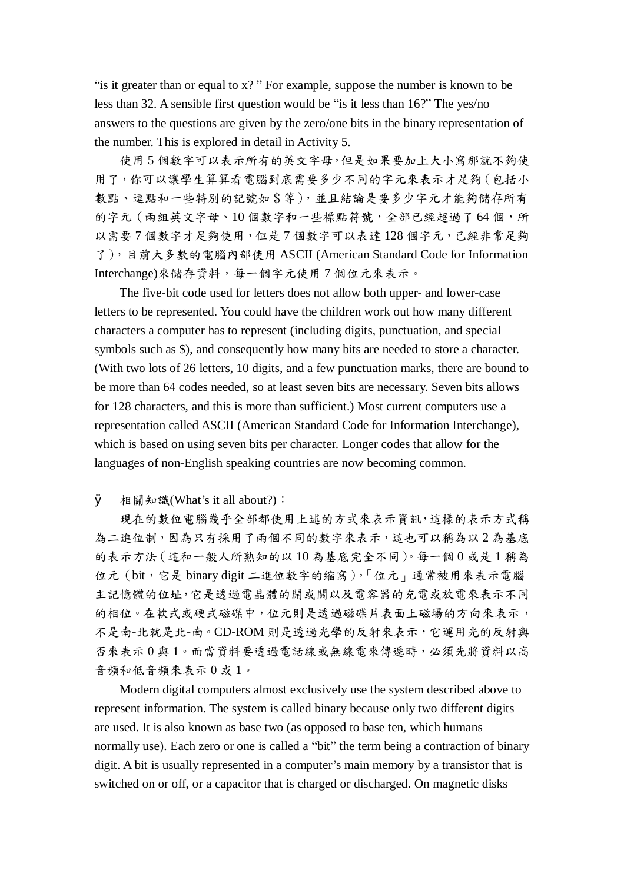"is it greater than or equal to  $x$ ?" For example, suppose the number is known to be less than 32. A sensible first question would be "is it less than 16?" The yes/no answers to the questions are given by the zero/one bits in the binary representation of the number. This is explored in detail in Activity 5.

使用 5 個數字可以表示所有的英文字母,但是如果要加上大小寫那就不夠使 用了,你可以讓學生算算看電腦到底需要多少不同的字元來表示才足夠(包括小 數點、逗點和一些特別的記號如\$等),並且結論是要多少字元才能夠儲存所有 的字元 (兩組英文字母、10個數字和一些標點符號,全部已經超過了64個,所 以需要7個數字才足夠使用,但是7個數字可以表達128個字元,已經非常足夠 了),目前大多數的電腦內部使用 ASCII (American Standard Code for Information Interchange)來儲存資料,每一個字元使用 7 個位元來表示。

The five-bit code used for letters does not allow both upper- and lower-case letters to be represented. You could have the children work out how many different characters a computer has to represent (including digits, punctuation, and special symbols such as \$), and consequently how many bits are needed to store a character. (With two lots of 26 letters, 10 digits, and a few punctuation marks, there are bound to be more than 64 codes needed, so at least seven bits are necessary. Seven bits allows for 128 characters, and this is more than sufficient.) Most current computers use a representation called ASCII (American Standard Code for Information Interchange), which is based on using seven bits per character. Longer codes that allow for the languages of non-English speaking countries are now becoming common.

Ø 相關知識(What's it all about?):

現在的數位電腦幾乎全部都使用上述的方式來表示資訊,這樣的表示方式稱 為二進位制,因為只有採用了兩個不同的數字來表示,這也可以稱為以2為基底 的表示方法(這和一般人所熟知的以 10 為基底完全不同)。每一個 0 或是 1 稱為 位元(bit,它是 binary digit 二進位數字的縮寫),「位元」通常被用來表示電腦 主記憶體的位址,它是透過電晶體的開或關以及電容器的充電或放電來表示不同 的相位。在軟式或硬式磁碟中,位元則是透過磁碟片表面上磁場的方向來表示, 不是南-北就是北-南。CD-ROM 則是透過光學的反射來表示,它運用光的反射與 否來表示 0 與 1。而當資料要透過電話線或無線電來傳遞時,必須先將資料以高 音頻和低音頻來表示 0 或 1。

Modern digital computers almost exclusively use the system described above to represent information. The system is called binary because only two different digits are used. It is also known as base two (as opposed to base ten, which humans normally use). Each zero or one is called a "bit" the term being a contraction of binary digit. A bit is usually represented in a computer's main memory by a transistor that is switched on or off, or a capacitor that is charged or discharged. On magnetic disks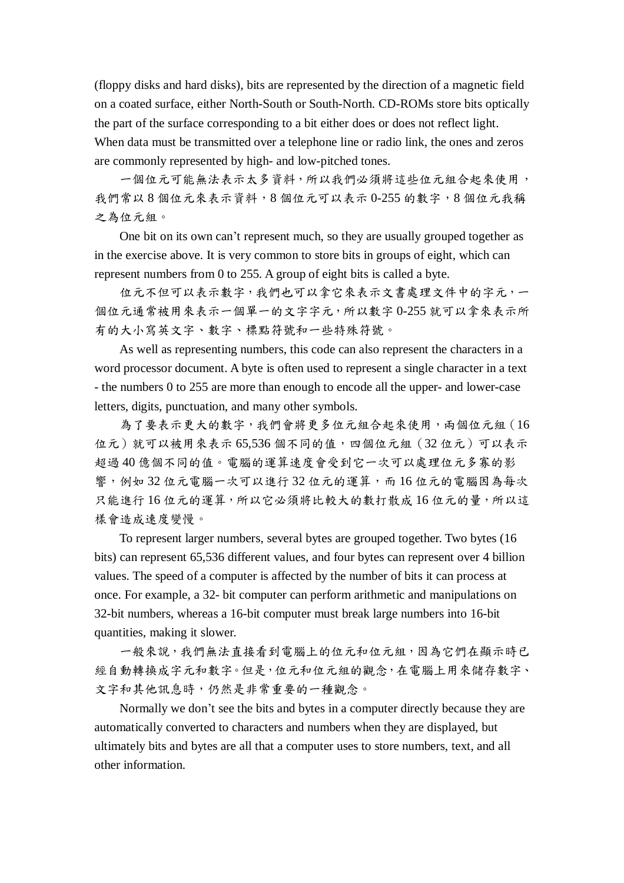(floppy disks and hard disks), bits are represented by the direction of a magnetic field on a coated surface, either North-South or South-North. CD-ROMs store bits optically the part of the surface corresponding to a bit either does or does not reflect light. When data must be transmitted over a telephone line or radio link, the ones and zeros are commonly represented by high- and low-pitched tones.

一個位元可能無法表示太多資料,所以我們必須將這些位元組合起來使用, 我們常以 8 個位元來表示資料,8 個位元可以表示 0-255 的數字,8 個位元我稱 之為位元組。

One bit on its own can't represent much, so they are usually grouped together as in the exercise above. It is very common to store bits in groups of eight, which can represent numbers from 0 to 255. A group of eight bits is called a byte.

位元不但可以表示我們也可以拿它來表示文書處理文件中的字元,一 個位元通常被用來表示一個單一的文字字元,所以數字 0-255 就可以拿來表示所 有的大小寫英文字、數字、標點符號和一些特殊符號。

As well as representing numbers, this code can also represent the characters in a word processor document. A byte is often used to represent a single character in a text - the numbers 0 to 255 are more than enough to encode all the upper- and lower-case letters, digits, punctuation, and many other symbols.

為了要表示更大的數字,我們會將更多位元組合起來使用,兩個位元組(16 位元)就可以被用來表示 65,536 個不同的值,四個位元組 (32位元)可以表示 超過 40 億個不同的值。電腦的運算速度會受到它一次可以處理位元多寡的影 響,例如 32位元電腦一次可以進行 32位元的運算,而 16位元的電腦因為每次 只能進行 16 位元的運算,所以它必須將比較大的數打散成 16 位元的量,所以這 樣會造成速度變慢。

To represent larger numbers, several bytes are grouped together. Two bytes (16 bits) can represent 65,536 different values, and four bytes can represent over 4 billion values. The speed of a computer is affected by the number of bits it can process at once. For example, a 32- bit computer can perform arithmetic and manipulations on 32-bit numbers, whereas a 16-bit computer must break large numbers into 16-bit quantities, making it slower.

一般來說,我們無法直接看到電腦上的位元和位元組,因為它們在顯示時已 經自動轉換成字元和數字。但是,位元和位元組的觀念,在電腦上用來儲存數字、 文字和其他訊息時,仍然是非常重要的一種觀念。

Normally we don't see the bits and bytes in a computer directly because they are automatically converted to characters and numbers when they are displayed, but ultimately bits and bytes are all that a computer uses to store numbers, text, and all other information.